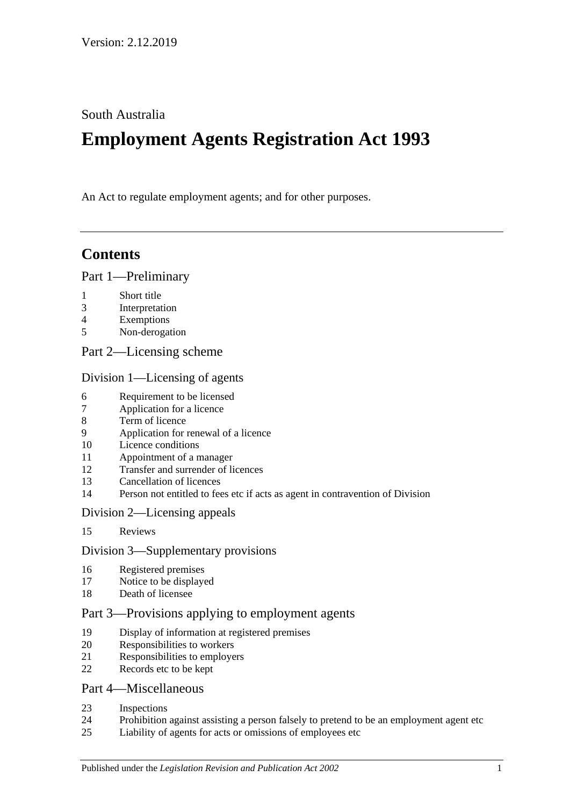South Australia

# **Employment Agents Registration Act 1993**

An Act to regulate employment agents; and for other purposes.

# **Contents**

#### [Part 1—Preliminary](#page-1-0)

- [Short title](#page-1-1)
- [Interpretation](#page-1-2)
- [Exemptions](#page-2-0)
- [Non-derogation](#page-3-0)
- [Part 2—Licensing scheme](#page-3-1)

#### [Division 1—Licensing of agents](#page-3-2)

- [Requirement to be licensed](#page-3-3)
- [Application for a licence](#page-3-4)
- [Term of licence](#page-5-0)
- [Application for renewal of a licence](#page-5-1)
- [Licence conditions](#page-5-2)
- [Appointment of a manager](#page-6-0)
- [Transfer and surrender of licences](#page-6-1)
- [Cancellation of licences](#page-6-2)
- [Person not entitled to fees etc if acts as agent in contravention of Division](#page-7-0)

#### [Division 2—Licensing appeals](#page-7-1)

[Reviews](#page-7-2)

#### [Division 3—Supplementary provisions](#page-8-0)

- [Registered premises](#page-8-1)
- [Notice to be displayed](#page-8-2)
- [Death of licensee](#page-8-3)

#### [Part 3—Provisions applying to employment agents](#page-8-4)

- [Display of information at registered premises](#page-8-5)
- [Responsibilities to workers](#page-9-0)
- [Responsibilities to employers](#page-10-0)
- [Records etc to be kept](#page-10-1)

#### [Part 4—Miscellaneous](#page-11-0)

- [Inspections](#page-11-1)
- [Prohibition against assisting a person falsely to pretend to be an employment agent etc](#page-12-0)
- [Liability of agents for acts or omissions of employees etc](#page-12-1)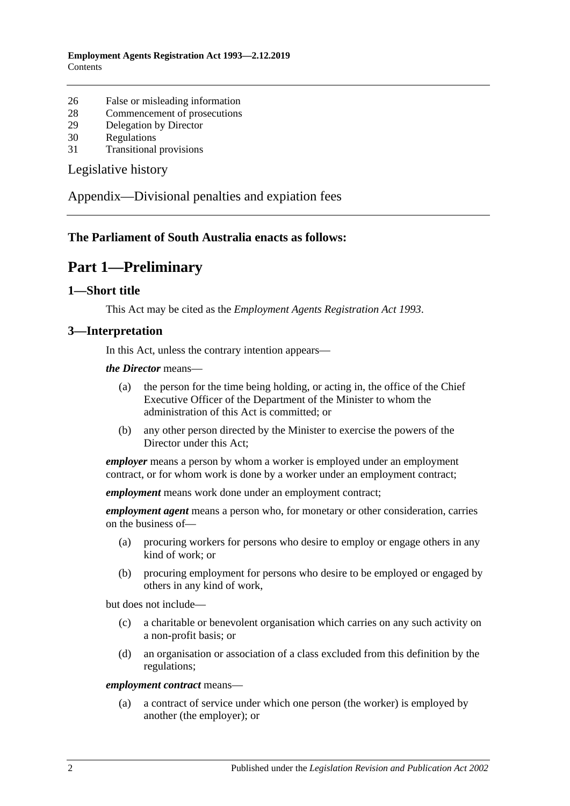- 26 [False or misleading information](#page-12-2)
- 28 [Commencement of prosecutions](#page-12-3)
- 29 [Delegation by Director](#page-13-0)
- 30 [Regulations](#page-13-1)
- 31 [Transitional provisions](#page-13-2)

[Legislative history](#page-14-0)

[Appendix—Divisional penalties and expiation fees](#page-15-0)

#### <span id="page-1-0"></span>**The Parliament of South Australia enacts as follows:**

# **Part 1—Preliminary**

#### <span id="page-1-1"></span>**1—Short title**

This Act may be cited as the *Employment Agents Registration Act 1993*.

#### <span id="page-1-2"></span>**3—Interpretation**

In this Act, unless the contrary intention appears—

*the Director* means—

- (a) the person for the time being holding, or acting in, the office of the Chief Executive Officer of the Department of the Minister to whom the administration of this Act is committed; or
- (b) any other person directed by the Minister to exercise the powers of the Director under this Act;

*employer* means a person by whom a worker is employed under an employment contract, or for whom work is done by a worker under an employment contract;

*employment* means work done under an employment contract;

*employment agent* means a person who, for monetary or other consideration, carries on the business of—

- (a) procuring workers for persons who desire to employ or engage others in any kind of work; or
- (b) procuring employment for persons who desire to be employed or engaged by others in any kind of work,

but does not include—

- (c) a charitable or benevolent organisation which carries on any such activity on a non-profit basis; or
- (d) an organisation or association of a class excluded from this definition by the regulations;

#### *employment contract* means—

(a) a contract of service under which one person (the worker) is employed by another (the employer); or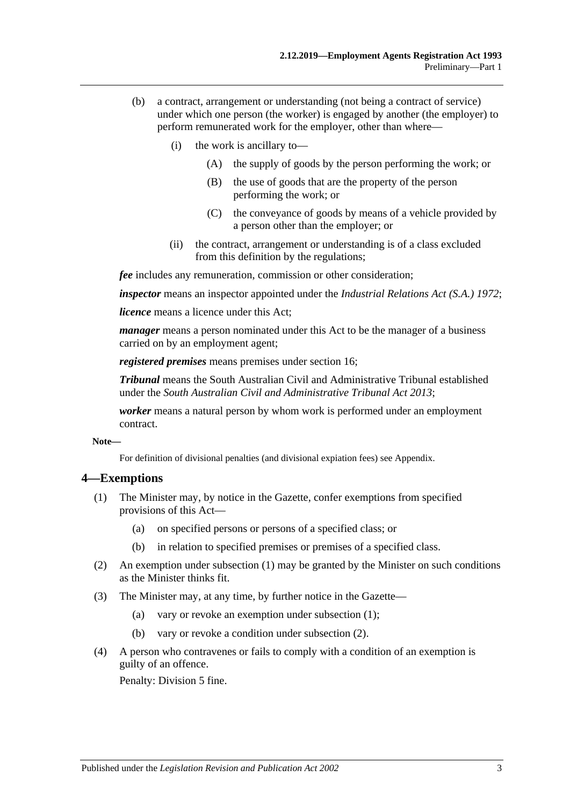- (b) a contract, arrangement or understanding (not being a contract of service) under which one person (the worker) is engaged by another (the employer) to perform remunerated work for the employer, other than where—
	- (i) the work is ancillary to—
		- (A) the supply of goods by the person performing the work; or
		- (B) the use of goods that are the property of the person performing the work; or
		- (C) the conveyance of goods by means of a vehicle provided by a person other than the employer; or
	- (ii) the contract, arrangement or understanding is of a class excluded from this definition by the regulations;

*fee* includes any remuneration, commission or other consideration;

*inspector* means an inspector appointed under the *[Industrial Relations Act \(S.A.\)](http://www.legislation.sa.gov.au/index.aspx?action=legref&type=act&legtitle=Industrial%20Relations%20Act%20(S.A.)%201972) 1972*;

*licence* means a licence under this Act;

*manager* means a person nominated under this Act to be the manager of a business carried on by an employment agent;

*registered premises* means premises under [section](#page-8-1) 16;

*Tribunal* means the South Australian Civil and Administrative Tribunal established under the *[South Australian Civil and Administrative Tribunal Act](http://www.legislation.sa.gov.au/index.aspx?action=legref&type=act&legtitle=South%20Australian%20Civil%20and%20Administrative%20Tribunal%20Act%202013) 2013*;

*worker* means a natural person by whom work is performed under an employment contract.

**Note—**

For definition of divisional penalties (and divisional expiation fees) see Appendix.

#### <span id="page-2-1"></span><span id="page-2-0"></span>**4—Exemptions**

- (1) The Minister may, by notice in the Gazette, confer exemptions from specified provisions of this Act—
	- (a) on specified persons or persons of a specified class; or
	- (b) in relation to specified premises or premises of a specified class.
- <span id="page-2-2"></span>(2) An exemption under [subsection](#page-2-1) (1) may be granted by the Minister on such conditions as the Minister thinks fit.
- (3) The Minister may, at any time, by further notice in the Gazette—
	- (a) vary or revoke an exemption under [subsection](#page-2-1) (1);
	- (b) vary or revoke a condition under [subsection](#page-2-2) (2).
- (4) A person who contravenes or fails to comply with a condition of an exemption is guilty of an offence.

Penalty: Division 5 fine.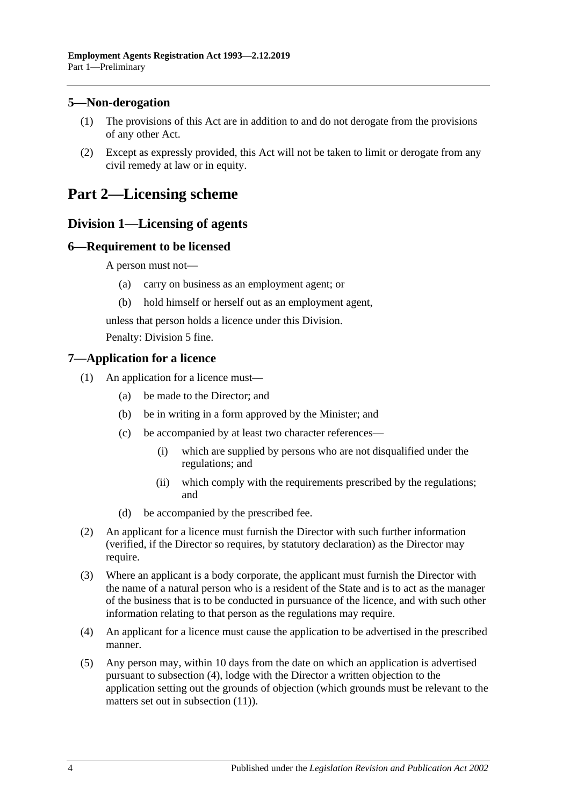#### <span id="page-3-0"></span>**5—Non-derogation**

- (1) The provisions of this Act are in addition to and do not derogate from the provisions of any other Act.
- (2) Except as expressly provided, this Act will not be taken to limit or derogate from any civil remedy at law or in equity.

# <span id="page-3-2"></span><span id="page-3-1"></span>**Part 2—Licensing scheme**

### **Division 1—Licensing of agents**

#### <span id="page-3-3"></span>**6—Requirement to be licensed**

A person must not—

- (a) carry on business as an employment agent; or
- (b) hold himself or herself out as an employment agent,

unless that person holds a licence under this Division.

Penalty: Division 5 fine.

#### <span id="page-3-4"></span>**7—Application for a licence**

- (1) An application for a licence must—
	- (a) be made to the Director; and
	- (b) be in writing in a form approved by the Minister; and
	- (c) be accompanied by at least two character references—
		- (i) which are supplied by persons who are not disqualified under the regulations; and
		- (ii) which comply with the requirements prescribed by the regulations; and
	- (d) be accompanied by the prescribed fee.
- <span id="page-3-7"></span>(2) An applicant for a licence must furnish the Director with such further information (verified, if the Director so requires, by statutory declaration) as the Director may require.
- (3) Where an applicant is a body corporate, the applicant must furnish the Director with the name of a natural person who is a resident of the State and is to act as the manager of the business that is to be conducted in pursuance of the licence, and with such other information relating to that person as the regulations may require.
- <span id="page-3-5"></span>(4) An applicant for a licence must cause the application to be advertised in the prescribed manner.
- <span id="page-3-6"></span>(5) Any person may, within 10 days from the date on which an application is advertised pursuant to [subsection](#page-3-5) (4), lodge with the Director a written objection to the application setting out the grounds of objection (which grounds must be relevant to the matters set out in [subsection](#page-4-0) (11)).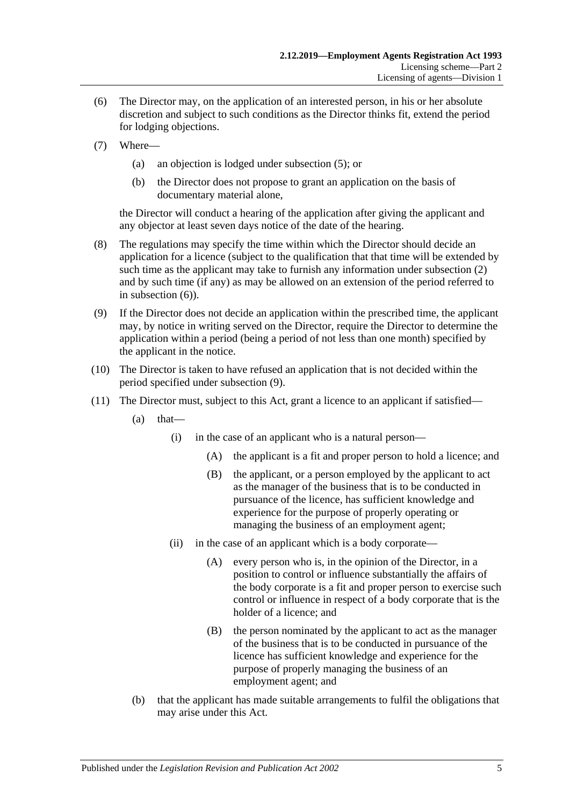- <span id="page-4-1"></span>(6) The Director may, on the application of an interested person, in his or her absolute discretion and subject to such conditions as the Director thinks fit, extend the period for lodging objections.
- (7) Where—
	- (a) an objection is lodged under [subsection](#page-3-6) (5); or
	- (b) the Director does not propose to grant an application on the basis of documentary material alone,

the Director will conduct a hearing of the application after giving the applicant and any objector at least seven days notice of the date of the hearing.

- (8) The regulations may specify the time within which the Director should decide an application for a licence (subject to the qualification that that time will be extended by such time as the applicant may take to furnish any information under [subsection](#page-3-7) (2) and by such time (if any) as may be allowed on an extension of the period referred to in [subsection](#page-4-1) (6)).
- <span id="page-4-2"></span>(9) If the Director does not decide an application within the prescribed time, the applicant may, by notice in writing served on the Director, require the Director to determine the application within a period (being a period of not less than one month) specified by the applicant in the notice.
- (10) The Director is taken to have refused an application that is not decided within the period specified under [subsection](#page-4-2) (9).
- <span id="page-4-0"></span>(11) The Director must, subject to this Act, grant a licence to an applicant if satisfied—
	- $(a)$  that—
		- (i) in the case of an applicant who is a natural person—
			- (A) the applicant is a fit and proper person to hold a licence; and
			- (B) the applicant, or a person employed by the applicant to act as the manager of the business that is to be conducted in pursuance of the licence, has sufficient knowledge and experience for the purpose of properly operating or managing the business of an employment agent;
		- (ii) in the case of an applicant which is a body corporate—
			- (A) every person who is, in the opinion of the Director, in a position to control or influence substantially the affairs of the body corporate is a fit and proper person to exercise such control or influence in respect of a body corporate that is the holder of a licence; and
			- (B) the person nominated by the applicant to act as the manager of the business that is to be conducted in pursuance of the licence has sufficient knowledge and experience for the purpose of properly managing the business of an employment agent; and
	- (b) that the applicant has made suitable arrangements to fulfil the obligations that may arise under this Act.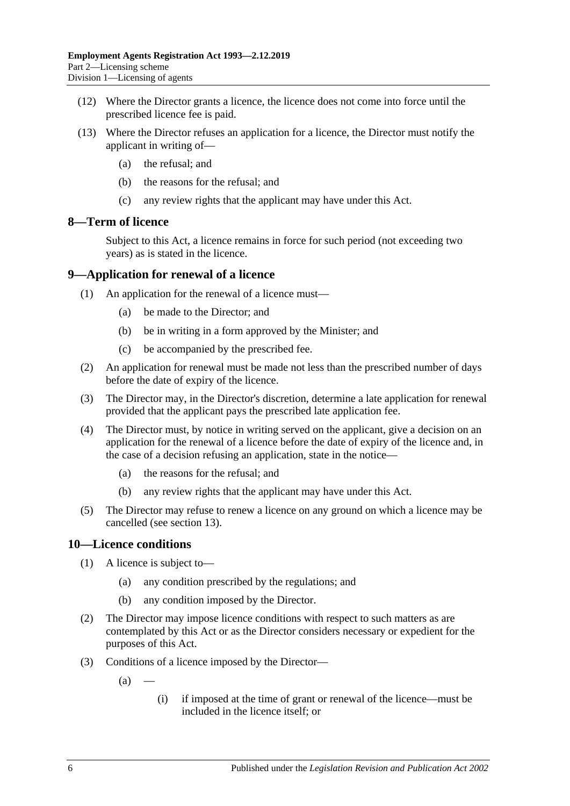- (12) Where the Director grants a licence, the licence does not come into force until the prescribed licence fee is paid.
- (13) Where the Director refuses an application for a licence, the Director must notify the applicant in writing of—
	- (a) the refusal; and
	- (b) the reasons for the refusal; and
	- (c) any review rights that the applicant may have under this Act.

#### <span id="page-5-0"></span>**8—Term of licence**

Subject to this Act, a licence remains in force for such period (not exceeding two years) as is stated in the licence.

#### <span id="page-5-1"></span>**9—Application for renewal of a licence**

- (1) An application for the renewal of a licence must—
	- (a) be made to the Director; and
	- (b) be in writing in a form approved by the Minister; and
	- (c) be accompanied by the prescribed fee.
- (2) An application for renewal must be made not less than the prescribed number of days before the date of expiry of the licence.
- (3) The Director may, in the Director's discretion, determine a late application for renewal provided that the applicant pays the prescribed late application fee.
- (4) The Director must, by notice in writing served on the applicant, give a decision on an application for the renewal of a licence before the date of expiry of the licence and, in the case of a decision refusing an application, state in the notice—
	- (a) the reasons for the refusal; and
	- (b) any review rights that the applicant may have under this Act.
- (5) The Director may refuse to renew a licence on any ground on which a licence may be cancelled (see [section](#page-6-2) 13).

#### <span id="page-5-2"></span>**10—Licence conditions**

- (1) A licence is subject to—
	- (a) any condition prescribed by the regulations; and
	- (b) any condition imposed by the Director.
- (2) The Director may impose licence conditions with respect to such matters as are contemplated by this Act or as the Director considers necessary or expedient for the purposes of this Act.
- (3) Conditions of a licence imposed by the Director—
	- $(a)$
- (i) if imposed at the time of grant or renewal of the licence—must be included in the licence itself; or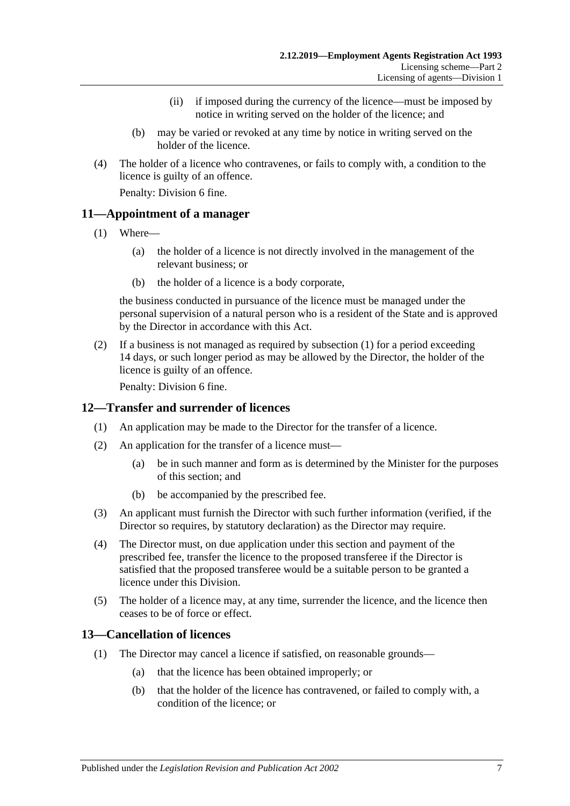- (ii) if imposed during the currency of the licence—must be imposed by notice in writing served on the holder of the licence; and
- (b) may be varied or revoked at any time by notice in writing served on the holder of the licence.
- (4) The holder of a licence who contravenes, or fails to comply with, a condition to the licence is guilty of an offence.

Penalty: Division 6 fine.

#### <span id="page-6-3"></span><span id="page-6-0"></span>**11—Appointment of a manager**

- (1) Where—
	- (a) the holder of a licence is not directly involved in the management of the relevant business; or
	- (b) the holder of a licence is a body corporate,

the business conducted in pursuance of the licence must be managed under the personal supervision of a natural person who is a resident of the State and is approved by the Director in accordance with this Act.

(2) If a business is not managed as required by [subsection](#page-6-3) (1) for a period exceeding 14 days, or such longer period as may be allowed by the Director, the holder of the licence is guilty of an offence.

Penalty: Division 6 fine.

#### <span id="page-6-1"></span>**12—Transfer and surrender of licences**

- (1) An application may be made to the Director for the transfer of a licence.
- (2) An application for the transfer of a licence must—
	- (a) be in such manner and form as is determined by the Minister for the purposes of this section; and
	- (b) be accompanied by the prescribed fee.
- (3) An applicant must furnish the Director with such further information (verified, if the Director so requires, by statutory declaration) as the Director may require.
- (4) The Director must, on due application under this section and payment of the prescribed fee, transfer the licence to the proposed transferee if the Director is satisfied that the proposed transferee would be a suitable person to be granted a licence under this Division.
- (5) The holder of a licence may, at any time, surrender the licence, and the licence then ceases to be of force or effect.

#### <span id="page-6-2"></span>**13—Cancellation of licences**

- (1) The Director may cancel a licence if satisfied, on reasonable grounds—
	- (a) that the licence has been obtained improperly; or
	- (b) that the holder of the licence has contravened, or failed to comply with, a condition of the licence; or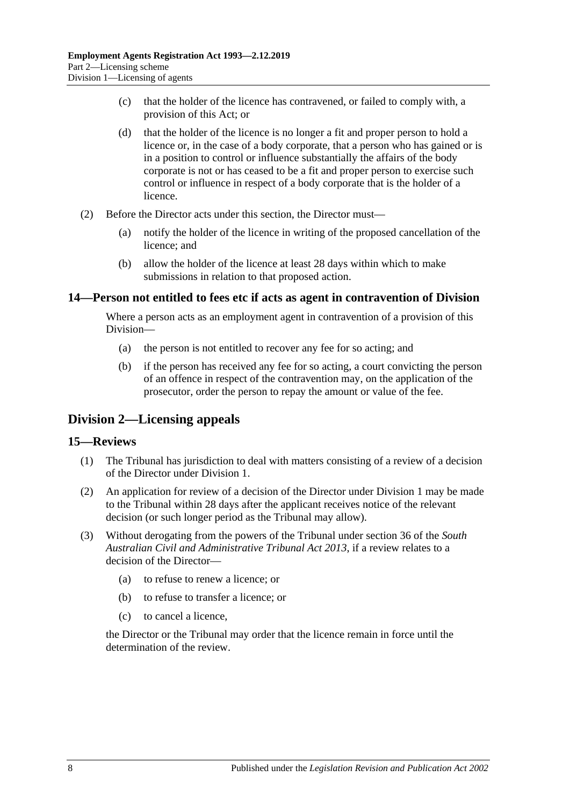- (c) that the holder of the licence has contravened, or failed to comply with, a provision of this Act; or
- (d) that the holder of the licence is no longer a fit and proper person to hold a licence or, in the case of a body corporate, that a person who has gained or is in a position to control or influence substantially the affairs of the body corporate is not or has ceased to be a fit and proper person to exercise such control or influence in respect of a body corporate that is the holder of a licence.
- (2) Before the Director acts under this section, the Director must—
	- (a) notify the holder of the licence in writing of the proposed cancellation of the licence; and
	- (b) allow the holder of the licence at least 28 days within which to make submissions in relation to that proposed action.

#### <span id="page-7-0"></span>**14—Person not entitled to fees etc if acts as agent in contravention of Division**

Where a person acts as an employment agent in contravention of a provision of this Division—

- (a) the person is not entitled to recover any fee for so acting; and
- (b) if the person has received any fee for so acting, a court convicting the person of an offence in respect of the contravention may, on the application of the prosecutor, order the person to repay the amount or value of the fee.

# <span id="page-7-1"></span>**Division 2—Licensing appeals**

#### <span id="page-7-2"></span>**15—Reviews**

- (1) The Tribunal has jurisdiction to deal with matters consisting of a review of a decision of the Director under [Division](#page-3-2) 1.
- (2) An application for review of a decision of the Director under [Division](#page-3-2) 1 may be made to the Tribunal within 28 days after the applicant receives notice of the relevant decision (or such longer period as the Tribunal may allow).
- (3) Without derogating from the powers of the Tribunal under section 36 of the *[South](http://www.legislation.sa.gov.au/index.aspx?action=legref&type=act&legtitle=South%20Australian%20Civil%20and%20Administrative%20Tribunal%20Act%202013)  Australian [Civil and Administrative Tribunal Act](http://www.legislation.sa.gov.au/index.aspx?action=legref&type=act&legtitle=South%20Australian%20Civil%20and%20Administrative%20Tribunal%20Act%202013) 2013*, if a review relates to a decision of the Director—
	- (a) to refuse to renew a licence; or
	- (b) to refuse to transfer a licence; or
	- (c) to cancel a licence,

the Director or the Tribunal may order that the licence remain in force until the determination of the review.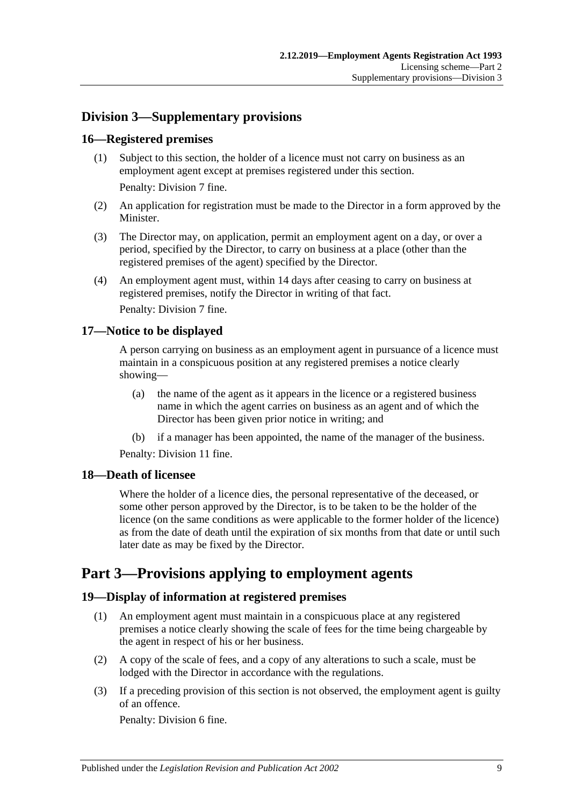# <span id="page-8-0"></span>**Division 3—Supplementary provisions**

#### <span id="page-8-1"></span>**16—Registered premises**

(1) Subject to this section, the holder of a licence must not carry on business as an employment agent except at premises registered under this section.

Penalty: Division 7 fine.

- (2) An application for registration must be made to the Director in a form approved by the **Minister**
- (3) The Director may, on application, permit an employment agent on a day, or over a period, specified by the Director, to carry on business at a place (other than the registered premises of the agent) specified by the Director.
- (4) An employment agent must, within 14 days after ceasing to carry on business at registered premises, notify the Director in writing of that fact. Penalty: Division 7 fine.

#### <span id="page-8-2"></span>**17—Notice to be displayed**

A person carrying on business as an employment agent in pursuance of a licence must maintain in a conspicuous position at any registered premises a notice clearly showing—

- (a) the name of the agent as it appears in the licence or a registered business name in which the agent carries on business as an agent and of which the Director has been given prior notice in writing; and
- (b) if a manager has been appointed, the name of the manager of the business.

Penalty: Division 11 fine.

#### <span id="page-8-3"></span>**18—Death of licensee**

Where the holder of a licence dies, the personal representative of the deceased, or some other person approved by the Director, is to be taken to be the holder of the licence (on the same conditions as were applicable to the former holder of the licence) as from the date of death until the expiration of six months from that date or until such later date as may be fixed by the Director.

# <span id="page-8-4"></span>**Part 3—Provisions applying to employment agents**

#### <span id="page-8-5"></span>**19—Display of information at registered premises**

- (1) An employment agent must maintain in a conspicuous place at any registered premises a notice clearly showing the scale of fees for the time being chargeable by the agent in respect of his or her business.
- (2) A copy of the scale of fees, and a copy of any alterations to such a scale, must be lodged with the Director in accordance with the regulations.
- (3) If a preceding provision of this section is not observed, the employment agent is guilty of an offence.

Penalty: Division 6 fine.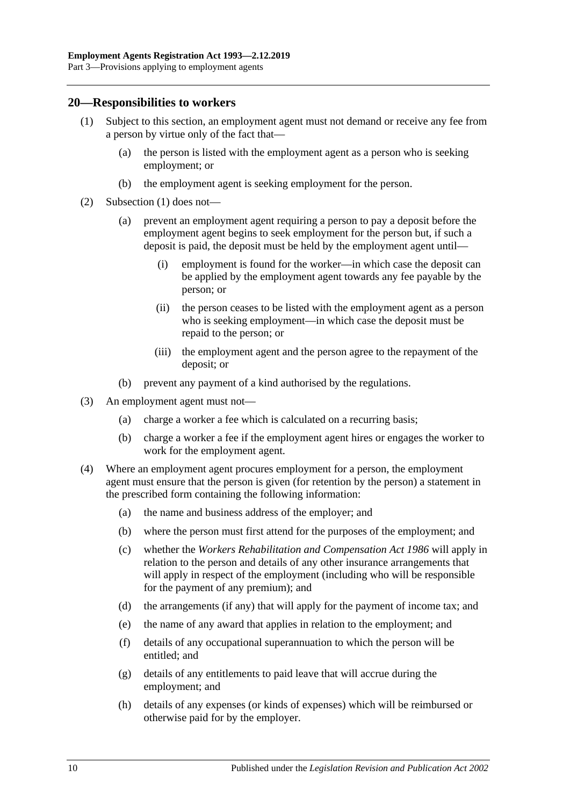#### <span id="page-9-1"></span><span id="page-9-0"></span>**20—Responsibilities to workers**

- (1) Subject to this section, an employment agent must not demand or receive any fee from a person by virtue only of the fact that—
	- (a) the person is listed with the employment agent as a person who is seeking employment; or
	- (b) the employment agent is seeking employment for the person.
- (2) [Subsection](#page-9-1) (1) does not—
	- (a) prevent an employment agent requiring a person to pay a deposit before the employment agent begins to seek employment for the person but, if such a deposit is paid, the deposit must be held by the employment agent until—
		- (i) employment is found for the worker—in which case the deposit can be applied by the employment agent towards any fee payable by the person; or
		- (ii) the person ceases to be listed with the employment agent as a person who is seeking employment—in which case the deposit must be repaid to the person; or
		- (iii) the employment agent and the person agree to the repayment of the deposit; or
	- (b) prevent any payment of a kind authorised by the regulations.
- (3) An employment agent must not—
	- (a) charge a worker a fee which is calculated on a recurring basis;
	- (b) charge a worker a fee if the employment agent hires or engages the worker to work for the employment agent.
- (4) Where an employment agent procures employment for a person, the employment agent must ensure that the person is given (for retention by the person) a statement in the prescribed form containing the following information:
	- (a) the name and business address of the employer; and
	- (b) where the person must first attend for the purposes of the employment; and
	- (c) whether the *[Workers Rehabilitation and Compensation Act](http://www.legislation.sa.gov.au/index.aspx?action=legref&type=act&legtitle=Workers%20Rehabilitation%20and%20Compensation%20Act%201986) 1986* will apply in relation to the person and details of any other insurance arrangements that will apply in respect of the employment (including who will be responsible for the payment of any premium); and
	- (d) the arrangements (if any) that will apply for the payment of income tax; and
	- (e) the name of any award that applies in relation to the employment; and
	- (f) details of any occupational superannuation to which the person will be entitled; and
	- (g) details of any entitlements to paid leave that will accrue during the employment; and
	- (h) details of any expenses (or kinds of expenses) which will be reimbursed or otherwise paid for by the employer.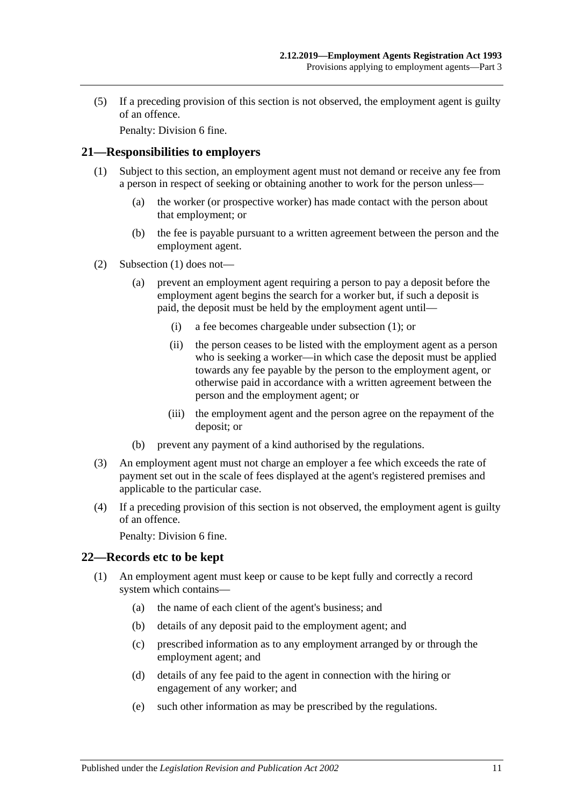(5) If a preceding provision of this section is not observed, the employment agent is guilty of an offence.

Penalty: Division 6 fine.

#### <span id="page-10-2"></span><span id="page-10-0"></span>**21—Responsibilities to employers**

- (1) Subject to this section, an employment agent must not demand or receive any fee from a person in respect of seeking or obtaining another to work for the person unless—
	- (a) the worker (or prospective worker) has made contact with the person about that employment; or
	- (b) the fee is payable pursuant to a written agreement between the person and the employment agent.
- (2) [Subsection](#page-10-2) (1) does not—
	- (a) prevent an employment agent requiring a person to pay a deposit before the employment agent begins the search for a worker but, if such a deposit is paid, the deposit must be held by the employment agent until—
		- (i) a fee becomes chargeable under [subsection](#page-10-2) (1); or
		- (ii) the person ceases to be listed with the employment agent as a person who is seeking a worker—in which case the deposit must be applied towards any fee payable by the person to the employment agent, or otherwise paid in accordance with a written agreement between the person and the employment agent; or
		- (iii) the employment agent and the person agree on the repayment of the deposit; or
	- (b) prevent any payment of a kind authorised by the regulations.
- (3) An employment agent must not charge an employer a fee which exceeds the rate of payment set out in the scale of fees displayed at the agent's registered premises and applicable to the particular case.
- (4) If a preceding provision of this section is not observed, the employment agent is guilty of an offence.

Penalty: Division 6 fine.

#### <span id="page-10-3"></span><span id="page-10-1"></span>**22—Records etc to be kept**

- (1) An employment agent must keep or cause to be kept fully and correctly a record system which contains—
	- (a) the name of each client of the agent's business; and
	- (b) details of any deposit paid to the employment agent; and
	- (c) prescribed information as to any employment arranged by or through the employment agent; and
	- (d) details of any fee paid to the agent in connection with the hiring or engagement of any worker; and
	- (e) such other information as may be prescribed by the regulations.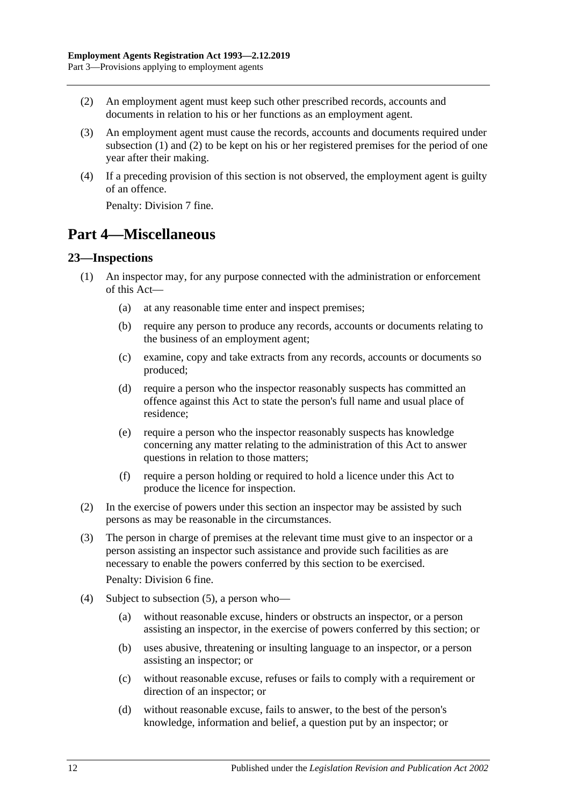- <span id="page-11-2"></span>(2) An employment agent must keep such other prescribed records, accounts and documents in relation to his or her functions as an employment agent.
- (3) An employment agent must cause the records, accounts and documents required under [subsection](#page-10-3) (1) and [\(2\)](#page-11-2) to be kept on his or her registered premises for the period of one year after their making.
- (4) If a preceding provision of this section is not observed, the employment agent is guilty of an offence.

Penalty: Division 7 fine.

# <span id="page-11-0"></span>**Part 4—Miscellaneous**

#### <span id="page-11-1"></span>**23—Inspections**

- (1) An inspector may, for any purpose connected with the administration or enforcement of this Act—
	- (a) at any reasonable time enter and inspect premises;
	- (b) require any person to produce any records, accounts or documents relating to the business of an employment agent;
	- (c) examine, copy and take extracts from any records, accounts or documents so produced;
	- (d) require a person who the inspector reasonably suspects has committed an offence against this Act to state the person's full name and usual place of residence;
	- (e) require a person who the inspector reasonably suspects has knowledge concerning any matter relating to the administration of this Act to answer questions in relation to those matters;
	- (f) require a person holding or required to hold a licence under this Act to produce the licence for inspection.
- (2) In the exercise of powers under this section an inspector may be assisted by such persons as may be reasonable in the circumstances.
- (3) The person in charge of premises at the relevant time must give to an inspector or a person assisting an inspector such assistance and provide such facilities as are necessary to enable the powers conferred by this section to be exercised.

Penalty: Division 6 fine.

- (4) Subject to [subsection](#page-12-4) (5), a person who—
	- (a) without reasonable excuse, hinders or obstructs an inspector, or a person assisting an inspector, in the exercise of powers conferred by this section; or
	- (b) uses abusive, threatening or insulting language to an inspector, or a person assisting an inspector; or
	- (c) without reasonable excuse, refuses or fails to comply with a requirement or direction of an inspector; or
	- (d) without reasonable excuse, fails to answer, to the best of the person's knowledge, information and belief, a question put by an inspector; or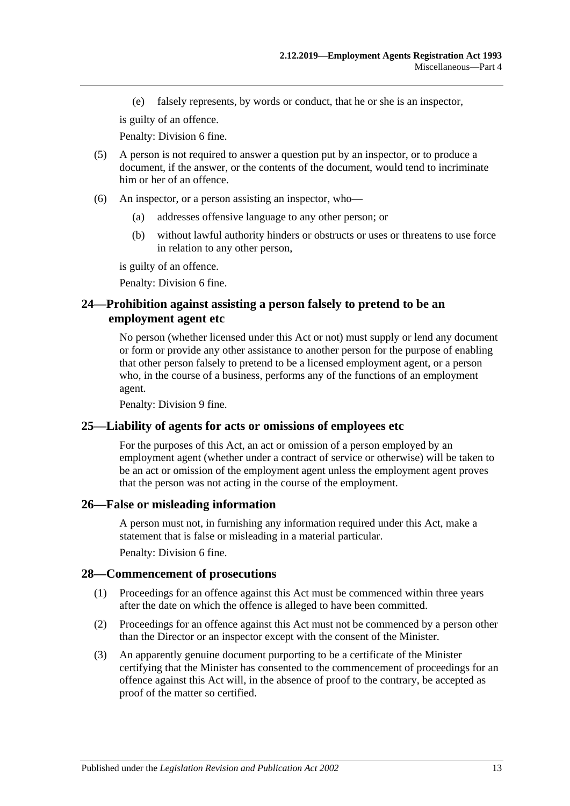(e) falsely represents, by words or conduct, that he or she is an inspector,

is guilty of an offence.

Penalty: Division 6 fine.

- <span id="page-12-4"></span>(5) A person is not required to answer a question put by an inspector, or to produce a document, if the answer, or the contents of the document, would tend to incriminate him or her of an offence.
- (6) An inspector, or a person assisting an inspector, who—
	- (a) addresses offensive language to any other person; or
	- (b) without lawful authority hinders or obstructs or uses or threatens to use force in relation to any other person,

is guilty of an offence.

Penalty: Division 6 fine.

#### <span id="page-12-0"></span>**24—Prohibition against assisting a person falsely to pretend to be an employment agent etc**

No person (whether licensed under this Act or not) must supply or lend any document or form or provide any other assistance to another person for the purpose of enabling that other person falsely to pretend to be a licensed employment agent, or a person who, in the course of a business, performs any of the functions of an employment agent.

Penalty: Division 9 fine.

#### <span id="page-12-1"></span>**25—Liability of agents for acts or omissions of employees etc**

For the purposes of this Act, an act or omission of a person employed by an employment agent (whether under a contract of service or otherwise) will be taken to be an act or omission of the employment agent unless the employment agent proves that the person was not acting in the course of the employment.

#### <span id="page-12-2"></span>**26—False or misleading information**

A person must not, in furnishing any information required under this Act, make a statement that is false or misleading in a material particular.

Penalty: Division 6 fine.

#### <span id="page-12-3"></span>**28—Commencement of prosecutions**

- (1) Proceedings for an offence against this Act must be commenced within three years after the date on which the offence is alleged to have been committed.
- (2) Proceedings for an offence against this Act must not be commenced by a person other than the Director or an inspector except with the consent of the Minister.
- (3) An apparently genuine document purporting to be a certificate of the Minister certifying that the Minister has consented to the commencement of proceedings for an offence against this Act will, in the absence of proof to the contrary, be accepted as proof of the matter so certified.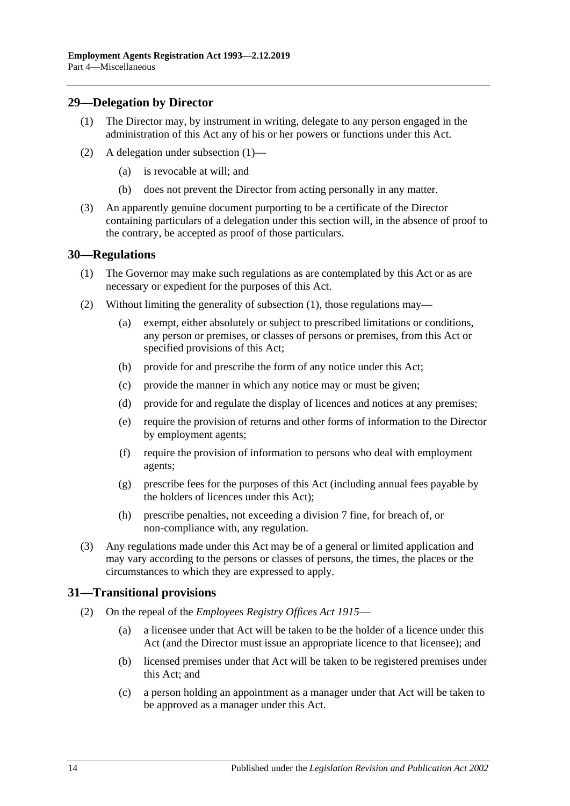#### <span id="page-13-3"></span><span id="page-13-0"></span>**29—Delegation by Director**

- (1) The Director may, by instrument in writing, delegate to any person engaged in the administration of this Act any of his or her powers or functions under this Act.
- (2) A delegation under [subsection](#page-13-3) (1)—
	- (a) is revocable at will; and
	- (b) does not prevent the Director from acting personally in any matter.
- (3) An apparently genuine document purporting to be a certificate of the Director containing particulars of a delegation under this section will, in the absence of proof to the contrary, be accepted as proof of those particulars.

#### <span id="page-13-4"></span><span id="page-13-1"></span>**30—Regulations**

- (1) The Governor may make such regulations as are contemplated by this Act or as are necessary or expedient for the purposes of this Act.
- (2) Without limiting the generality of [subsection](#page-13-4) (1), those regulations may—
	- (a) exempt, either absolutely or subject to prescribed limitations or conditions, any person or premises, or classes of persons or premises, from this Act or specified provisions of this Act;
	- (b) provide for and prescribe the form of any notice under this Act;
	- (c) provide the manner in which any notice may or must be given;
	- (d) provide for and regulate the display of licences and notices at any premises;
	- (e) require the provision of returns and other forms of information to the Director by employment agents;
	- (f) require the provision of information to persons who deal with employment agents;
	- (g) prescribe fees for the purposes of this Act (including annual fees payable by the holders of licences under this Act);
	- (h) prescribe penalties, not exceeding a division 7 fine, for breach of, or non-compliance with, any regulation.
- (3) Any regulations made under this Act may be of a general or limited application and may vary according to the persons or classes of persons, the times, the places or the circumstances to which they are expressed to apply.

#### <span id="page-13-2"></span>**31—Transitional provisions**

- (2) On the repeal of the *[Employees Registry Offices Act](http://www.legislation.sa.gov.au/index.aspx?action=legref&type=act&legtitle=Employees%20Registry%20Offices%20Act%201915) 1915*
	- (a) a licensee under that Act will be taken to be the holder of a licence under this Act (and the Director must issue an appropriate licence to that licensee); and
	- (b) licensed premises under that Act will be taken to be registered premises under this Act; and
	- (c) a person holding an appointment as a manager under that Act will be taken to be approved as a manager under this Act.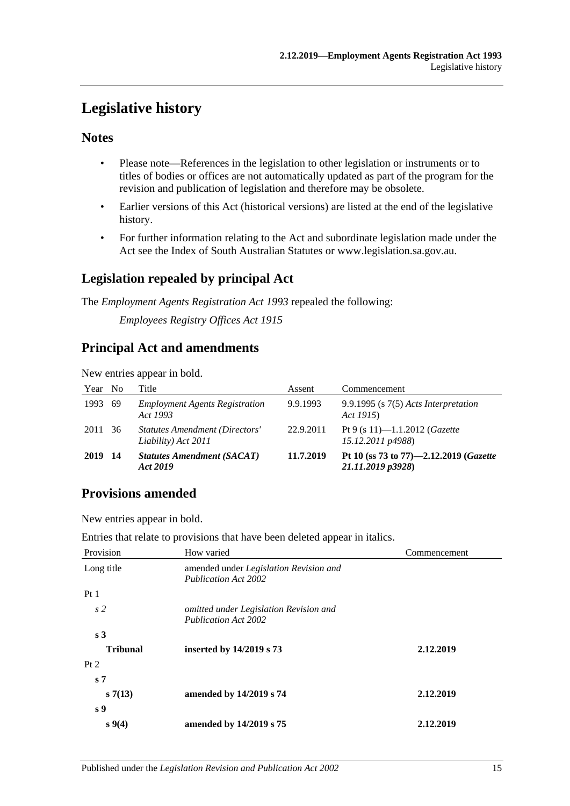# <span id="page-14-0"></span>**Legislative history**

### **Notes**

- Please note—References in the legislation to other legislation or instruments or to titles of bodies or offices are not automatically updated as part of the program for the revision and publication of legislation and therefore may be obsolete.
- Earlier versions of this Act (historical versions) are listed at the end of the legislative history.
- For further information relating to the Act and subordinate legislation made under the Act see the Index of South Australian Statutes or www.legislation.sa.gov.au.

# **Legislation repealed by principal Act**

The *Employment Agents Registration Act 1993* repealed the following:

*Employees Registry Offices Act 1915*

### **Principal Act and amendments**

New entries appear in bold.

| Year No |      | Title                                                        | Assent    | Commencement                                                |
|---------|------|--------------------------------------------------------------|-----------|-------------------------------------------------------------|
| 1993    | - 69 | <b>Employment Agents Registration</b><br>Act 1993            | 9.9.1993  | $9.9.1995$ (s $7(5)$ Acts Interpretation<br>Act 1915)       |
| 2011 36 |      | <b>Statutes Amendment (Directors'</b><br>Liability) Act 2011 | 22.9.2011 | Pt 9 (s 11)-1.1.2012 ( <i>Gazette</i><br>15.12.2011 p4988)  |
| 2019    | - 14 | <b>Statutes Amendment (SACAT)</b><br>Act 2019                | 11.7.2019 | Pt 10 (ss 73 to 77)-2.12.2019 (Gazette<br>21.11.2019 p3928) |

# **Provisions amended**

New entries appear in bold.

Entries that relate to provisions that have been deleted appear in italics.

| Provision       | How varied                                                            | Commencement |
|-----------------|-----------------------------------------------------------------------|--------------|
| Long title      | amended under Legislation Revision and<br><b>Publication Act 2002</b> |              |
| Pt1             |                                                                       |              |
| s <sub>2</sub>  | omitted under Legislation Revision and<br><b>Publication Act 2002</b> |              |
| s <sub>3</sub>  |                                                                       |              |
| <b>Tribunal</b> | inserted by 14/2019 s 73                                              | 2.12.2019    |
| Pt 2            |                                                                       |              |
| s <sub>7</sub>  |                                                                       |              |
| s7(13)          | amended by 14/2019 s 74                                               | 2.12.2019    |
| s <sub>9</sub>  |                                                                       |              |
| $s\,9(4)$       | amended by 14/2019 s 75                                               | 2.12.2019    |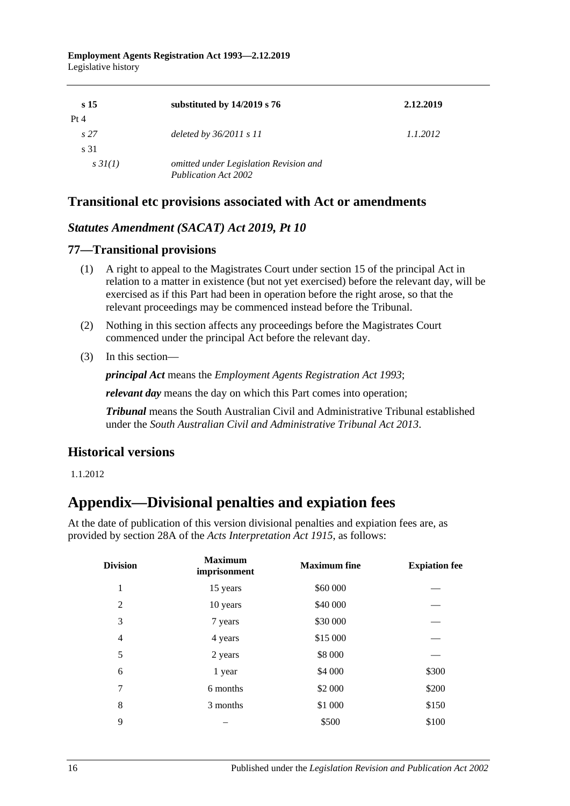| s <sub>15</sub> | substituted by 14/2019 s 76            | 2.12.2019 |
|-----------------|----------------------------------------|-----------|
| Pt 4            |                                        |           |
| s27             | deleted by $36/2011 s 11$              | 1.1.2012  |
| s 31            |                                        |           |
| $s \, 3I(1)$    | omitted under Legislation Revision and |           |
|                 | Publication Act 2002                   |           |

### **Transitional etc provisions associated with Act or amendments**

#### *Statutes Amendment (SACAT) Act 2019, Pt 10*

#### **77—Transitional provisions**

- (1) A right to appeal to the Magistrates Court under section 15 of the principal Act in relation to a matter in existence (but not yet exercised) before the relevant day, will be exercised as if this Part had been in operation before the right arose, so that the relevant proceedings may be commenced instead before the Tribunal.
- (2) Nothing in this section affects any proceedings before the Magistrates Court commenced under the principal Act before the relevant day.
- (3) In this section—

*principal Act* means the *[Employment Agents Registration Act](http://www.legislation.sa.gov.au/index.aspx?action=legref&type=act&legtitle=Employment%20Agents%20Registration%20Act%201993) 1993*;

*relevant day* means the day on which this Part comes into operation;

*Tribunal* means the South Australian Civil and Administrative Tribunal established under the *[South Australian Civil and Administrative Tribunal Act](http://www.legislation.sa.gov.au/index.aspx?action=legref&type=act&legtitle=South%20Australian%20Civil%20and%20Administrative%20Tribunal%20Act%202013) 2013*.

### **Historical versions**

<span id="page-15-0"></span>1.1.2012

# **Appendix—Divisional penalties and expiation fees**

At the date of publication of this version divisional penalties and expiation fees are, as provided by section 28A of the *[Acts Interpretation Act 1915](http://www.legislation.sa.gov.au/index.aspx?action=legref&type=act&legtitle=Acts%20Interpretation%20Act%201915)*, as follows:

| <b>Division</b> | <b>Maximum</b><br>imprisonment | <b>Maximum</b> fine | <b>Expiation fee</b> |
|-----------------|--------------------------------|---------------------|----------------------|
| 1               | 15 years                       | \$60 000            |                      |
| 2               | 10 years                       | \$40 000            |                      |
| 3               | 7 years                        | \$30 000            |                      |
| $\overline{4}$  | 4 years                        | \$15 000            |                      |
| 5               | 2 years                        | \$8 000             |                      |
| 6               | 1 year                         | \$4 000             | \$300                |
| 7               | 6 months                       | \$2 000             | \$200                |
| 8               | 3 months                       | \$1 000             | \$150                |
| 9               |                                | \$500               | \$100                |